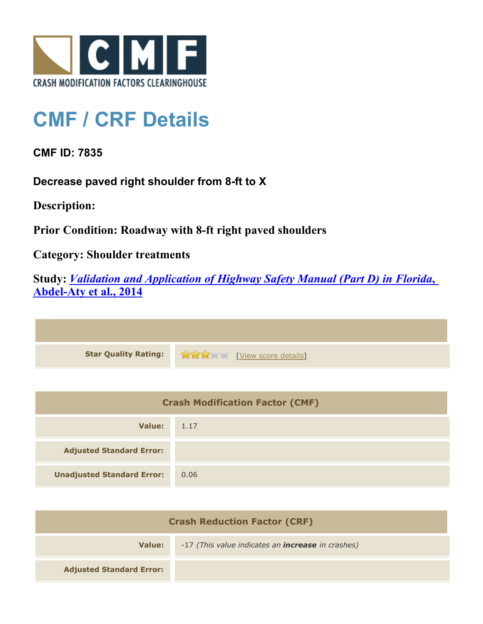

## **CMF / CRF Details**

**CMF ID: 7835**

**Decrease paved right shoulder from 8-ft to X**

**Description:** 

**Prior Condition: Roadway with 8-ft right paved shoulders**

**Category: Shoulder treatments**

**Study:** *[Validation and Application of Highway Safety Manual \(Part D\) in Florida](http://www.cmfclearinghouse.org/study_detail.cfm?stid=433)***[,](http://www.cmfclearinghouse.org/study_detail.cfm?stid=433) [Abdel-Aty et al., 2014](http://www.cmfclearinghouse.org/study_detail.cfm?stid=433)**

**Star Quality Rating:**  $\bullet$   $\bullet$   $\bullet$   $\bullet$  [[View score details](http://www.cmfclearinghouse.org/score_details.cfm?facid=7835)]

| <b>Crash Modification Factor (CMF)</b> |      |
|----------------------------------------|------|
| Value:                                 | 1.17 |
| <b>Adjusted Standard Error:</b>        |      |
| <b>Unadjusted Standard Error:</b>      | 0.06 |

| <b>Crash Reduction Factor (CRF)</b> |                                                          |
|-------------------------------------|----------------------------------------------------------|
| Value:                              | -17 (This value indicates an <b>increase</b> in crashes) |
| <b>Adjusted Standard Error:</b>     |                                                          |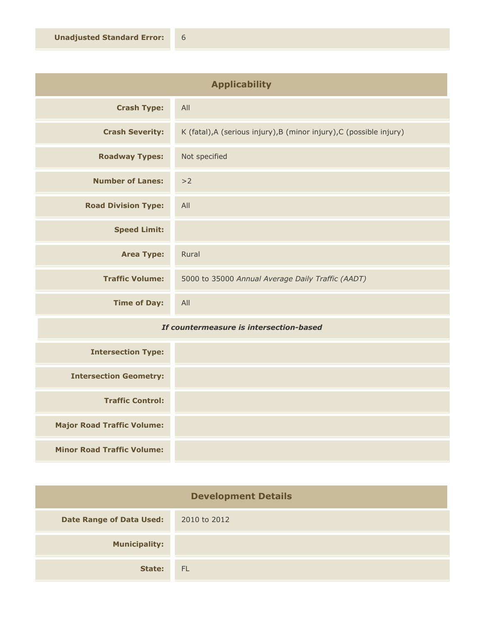| <b>Applicability</b>       |                                                                      |
|----------------------------|----------------------------------------------------------------------|
| <b>Crash Type:</b>         | All                                                                  |
| <b>Crash Severity:</b>     | K (fatal), A (serious injury), B (minor injury), C (possible injury) |
| <b>Roadway Types:</b>      | Not specified                                                        |
| <b>Number of Lanes:</b>    | >2                                                                   |
| <b>Road Division Type:</b> | All                                                                  |
| <b>Speed Limit:</b>        |                                                                      |
| <b>Area Type:</b>          | Rural                                                                |
| <b>Traffic Volume:</b>     | 5000 to 35000 Annual Average Daily Traffic (AADT)                    |
| <b>Time of Day:</b>        | All                                                                  |

## *If countermeasure is intersection-based*

| <b>Intersection Type:</b>         |  |
|-----------------------------------|--|
| <b>Intersection Geometry:</b>     |  |
| <b>Traffic Control:</b>           |  |
| <b>Major Road Traffic Volume:</b> |  |
| <b>Minor Road Traffic Volume:</b> |  |

| <b>Development Details</b>      |              |
|---------------------------------|--------------|
| <b>Date Range of Data Used:</b> | 2010 to 2012 |
| <b>Municipality:</b>            |              |
| State:                          | <b>FL</b>    |